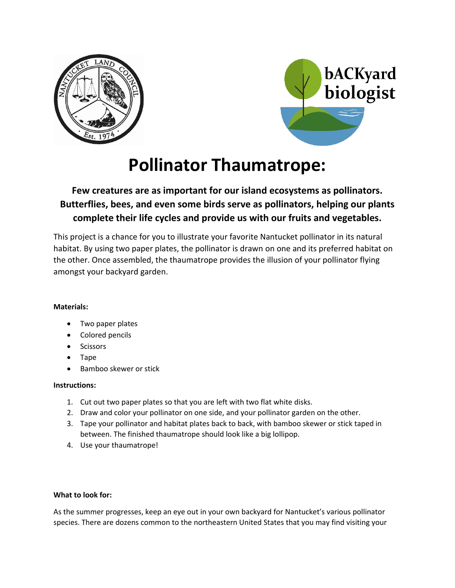



# **Pollinator Thaumatrope:**

## **Few creatures are as important for our island ecosystems as pollinators. Butterflies, bees, and even some birds serve as pollinators, helping our plants complete their life cycles and provide us with our fruits and vegetables.**

This project is a chance for you to illustrate your favorite Nantucket pollinator in its natural habitat. By using two paper plates, the pollinator is drawn on one and its preferred habitat on the other. Once assembled, the thaumatrope provides the illusion of your pollinator flying amongst your backyard garden.

### **Materials:**

- Two paper plates
- Colored pencils
- **Scissors**
- Tape
- Bamboo skewer or stick

#### **Instructions:**

- 1. Cut out two paper plates so that you are left with two flat white disks.
- 2. Draw and color your pollinator on one side, and your pollinator garden on the other.
- 3. Tape your pollinator and habitat plates back to back, with bamboo skewer or stick taped in between. The finished thaumatrope should look like a big lollipop.
- 4. Use your thaumatrope!

#### **What to look for:**

As the summer progresses, keep an eye out in your own backyard for Nantucket's various pollinator species. There are dozens common to the northeastern United States that you may find visiting your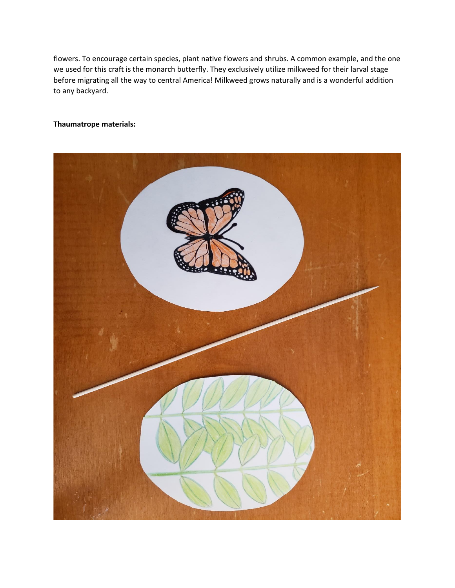flowers. To encourage certain species, plant native flowers and shrubs. A common example, and the one we used for this craft is the monarch butterfly. They exclusively utilize milkweed for their larval stage before migrating all the way to central America! Milkweed grows naturally and is a wonderful addition to any backyard.

#### **Thaumatrope materials:**